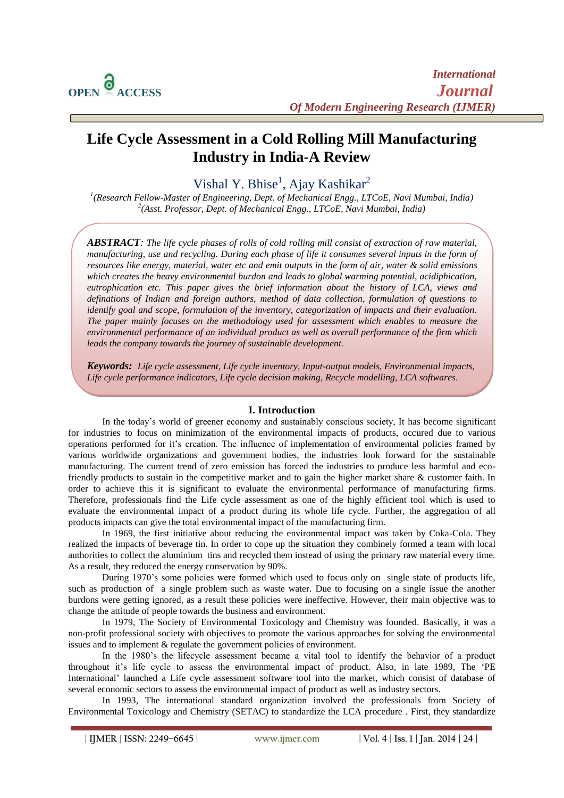$\overline{a}$ 

# **Life Cycle Assessment in a Cold Rolling Mill Manufacturing Industry in India-A Review**

Vishal Y. Bhise<sup>1</sup>, Ajay Kashikar<sup>2</sup>

*1 (Research Fellow-Master of Engineering, Dept. of Mechanical Engg., LTCoE, Navi Mumbai, India) 2 (Asst. Professor, Dept. of Mechanical Engg., LTCoE, Navi Mumbai, India)*

*ABSTRACT: The life cycle phases of rolls of cold rolling mill consist of extraction of raw material, manufacturing, use and recycling. During each phase of life it consumes several inputs in the form of resources like energy, material, water etc and emit outputs in the form of air, water & solid emissions which creates the heavy environmental burdon and leads to global warming potential, acidiphication, eutrophication etc. This paper gives the brief information about the history of LCA, views and definations of Indian and foreign authors, method of data collection, formulation of questions to identify goal and scope, formulation of the inventory, categorization of impacts and their evaluation. The paper mainly focuses on the methodology used for assessment which enables to measure the environmental performance of an individual product as well as overall performance of the firm which leads the company towards the journey of sustainable development.*

*Keywords: Life cycle assessment, Life cycle inventory, Input-output models, Environmental impacts, Life cycle performance indicators, Life cycle decision making, Recycle modelling, LCA softwares.*

## **I. Introduction**

In the today"s world of greener economy and sustainably conscious society, It has become significant for industries to focus on minimization of the environmental impacts of products, occured due to various operations performed for it"s creation. The influence of implementation of environmental policies framed by various worldwide organizations and government bodies, the industries look forward for the sustainable manufacturing. The current trend of zero emission has forced the industries to produce less harmful and ecofriendly products to sustain in the competitive market and to gain the higher market share & customer faith. In order to achieve this it is significant to evaluate the environmental performance of manufacturing firms. Therefore, professionals find the Life cycle assessment as one of the highly efficient tool which is used to evaluate the environmental impact of a product during its whole life cycle. Further, the aggregation of all products impacts can give the total environmental impact of the manufacturing firm.

In 1969, the first initiative about reducing the environmental impact was taken by Coka-Cola. They realized the impacts of beverage tin. In order to cope up the situation they combinely formed a team with local authorities to collect the aluminium tins and recycled them instead of using the primary raw material every time. As a result, they reduced the energy conservation by 90%.

During 1970's some policies were formed which used to focus only on single state of products life, such as production of a single problem such as waste water. Due to focusing on a single issue the another burdons were getting ignored, as a result these policies were ineffective. However, their main objective was to change the attitude of people towards the business and environment.

In 1979, The Society of Environmental Toxicology and Chemistry was founded. Basically, it was a non-profit professional society with objectives to promote the various approaches for solving the environmental issues and to implement & regulate the government policies of environment.

In the 1980's the lifecycle assessment became a vital tool to identify the behavior of a product throughout it"s life cycle to assess the environmental impact of product. Also, in late 1989, The "PE International" launched a Life cycle assessment software tool into the market, which consist of database of several economic sectors to assess the environmental impact of product as well as industry sectors.

In 1993, The international standard organization involved the professionals from Society of Environmental Toxicology and Chemistry (SETAC) to standardize the LCA procedure . First, they standardize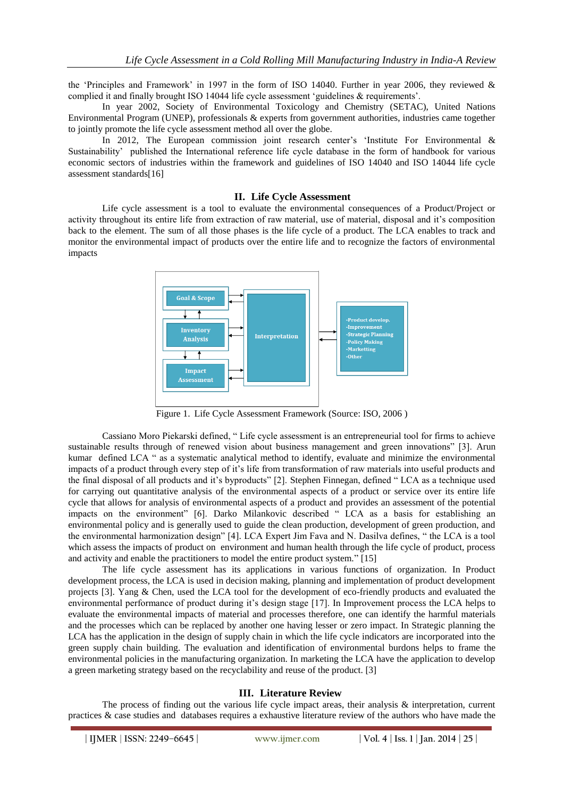the "Principles and Framework" in 1997 in the form of ISO 14040. Further in year 2006, they reviewed & complied it and finally brought ISO 14044 life cycle assessment 'guidelines & requirements'.

In year 2002, Society of Environmental Toxicology and Chemistry (SETAC), United Nations Environmental Program (UNEP), professionals & experts from government authorities, industries came together to jointly promote the life cycle assessment method all over the globe.

In 2012, The European commission joint research center's 'Institute For Environmental & Sustainability" published the International reference life cycle database in the form of handbook for various economic sectors of industries within the framework and guidelines of ISO 14040 and ISO 14044 life cycle assessment standards[16]

## **II. Life Cycle Assessment**

Life cycle assessment is a tool to evaluate the environmental consequences of a Product/Project or activity throughout its entire life from extraction of raw material, use of material, disposal and it"s composition back to the element. The sum of all those phases is the life cycle of a product. The LCA enables to track and monitor the environmental impact of products over the entire life and to recognize the factors of environmental impacts



Figure 1. Life Cycle Assessment Framework (Source: ISO, 2006 )

Cassiano Moro Piekarski defined, " Life cycle assessment is an entrepreneurial tool for firms to achieve sustainable results through of renewed vision about business management and green innovations" [3]. Arun kumar defined LCA " as a systematic analytical method to identify, evaluate and minimize the environmental impacts of a product through every step of it's life from transformation of raw materials into useful products and the final disposal of all products and it's byproducts" [2]. Stephen Finnegan, defined "LCA as a technique used for carrying out quantitative analysis of the environmental aspects of a product or service over its entire life cycle that allows for analysis of environmental aspects of a product and provides an assessment of the potential impacts on the environment" [6]. Darko Milankovic described " LCA as a basis for establishing an environmental policy and is generally used to guide the clean production, development of green production, and the environmental harmonization design" [4]. LCA Expert Jim Fava and N. Dasilva defines, " the LCA is a tool which assess the impacts of product on environment and human health through the life cycle of product, process and activity and enable the practitioners to model the entire product system." [15]

The life cycle assessment has its applications in various functions of organization. In Product development process, the LCA is used in decision making, planning and implementation of product development projects [3]. Yang & Chen, used the LCA tool for the development of eco-friendly products and evaluated the environmental performance of product during it's design stage [17]. In Improvement process the LCA helps to evaluate the environmental impacts of material and processes therefore, one can identify the harmful materials and the processes which can be replaced by another one having lesser or zero impact. In Strategic planning the LCA has the application in the design of supply chain in which the life cycle indicators are incorporated into the green supply chain building. The evaluation and identification of environmental burdons helps to frame the environmental policies in the manufacturing organization. In marketing the LCA have the application to develop a green marketing strategy based on the recyclability and reuse of the product. [3]

## **III. Literature Review**

The process of finding out the various life cycle impact areas, their analysis & interpretation, current practices & case studies and databases requires a exhaustive literature review of the authors who have made the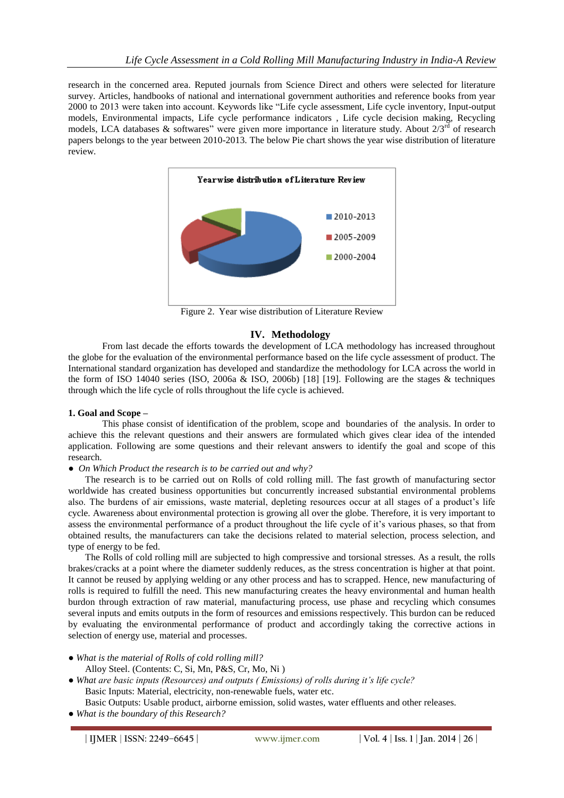research in the concerned area. Reputed journals from Science Direct and others were selected for literature survey. Articles, handbooks of national and international government authorities and reference books from year 2000 to 2013 were taken into account. Keywords like "Life cycle assessment, Life cycle inventory, Input-output models, Environmental impacts, Life cycle performance indicators , Life cycle decision making, Recycling models, LCA databases & softwares" were given more importance in literature study. About  $2/3^{rd}$  of research papers belongs to the year between 2010-2013. The below Pie chart shows the year wise distribution of literature review.



Figure 2. Year wise distribution of Literature Review

## **IV. Methodology**

From last decade the efforts towards the development of LCA methodology has increased throughout the globe for the evaluation of the environmental performance based on the life cycle assessment of product. The International standard organization has developed and standardize the methodology for LCA across the world in the form of ISO 14040 series (ISO, 2006a & ISO, 2006b) [18] [19]. Following are the stages & techniques through which the life cycle of rolls throughout the life cycle is achieved.

## **1. Goal and Scope –**

This phase consist of identification of the problem, scope and boundaries of the analysis. In order to achieve this the relevant questions and their answers are formulated which gives clear idea of the intended application. Following are some questions and their relevant answers to identify the goal and scope of this research.

*● On Which Product the research is to be carried out and why?*

The research is to be carried out on Rolls of cold rolling mill. The fast growth of manufacturing sector worldwide has created business opportunities but concurrently increased substantial environmental problems also. The burdens of air emissions, waste material, depleting resources occur at all stages of a product's life cycle. Awareness about environmental protection is growing all over the globe. Therefore, it is very important to assess the environmental performance of a product throughout the life cycle of it"s various phases, so that from obtained results, the manufacturers can take the decisions related to material selection, process selection, and type of energy to be fed.

The Rolls of cold rolling mill are subjected to high compressive and torsional stresses. As a result, the rolls brakes/cracks at a point where the diameter suddenly reduces, as the stress concentration is higher at that point. It cannot be reused by applying welding or any other process and has to scrapped. Hence, new manufacturing of rolls is required to fulfill the need. This new manufacturing creates the heavy environmental and human health burdon through extraction of raw material, manufacturing process, use phase and recycling which consumes several inputs and emits outputs in the form of resources and emissions respectively. This burdon can be reduced by evaluating the environmental performance of product and accordingly taking the corrective actions in selection of energy use, material and processes.

- *What is the material of Rolls of cold rolling mill?* Alloy Steel. (Contents: C, Si, Mn, P&S, Cr, Mo, Ni )
- *● What are basic inputs (Resources) and outputs ( Emissions) of rolls during it's life cycle?* Basic Inputs: Material, electricity, non-renewable fuels, water etc.

Basic Outputs: Usable product, airborne emission, solid wastes, water effluents and other releases.

*● What is the boundary of this Research?*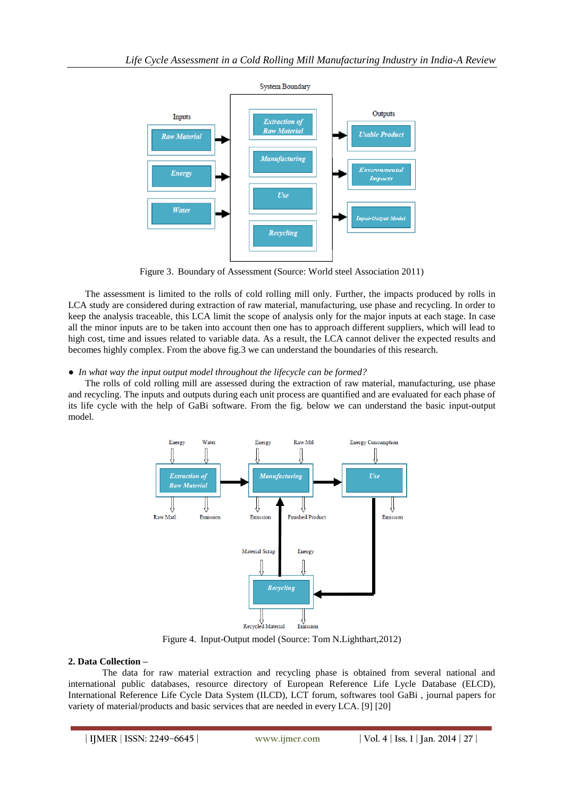

Figure 3. Boundary of Assessment (Source: World steel Association 2011)

The assessment is limited to the rolls of cold rolling mill only. Further, the impacts produced by rolls in LCA study are considered during extraction of raw material, manufacturing, use phase and recycling. In order to keep the analysis traceable, this LCA limit the scope of analysis only for the major inputs at each stage. In case all the minor inputs are to be taken into account then one has to approach different suppliers, which will lead to high cost, time and issues related to variable data. As a result, the LCA cannot deliver the expected results and becomes highly complex. From the above fig.3 we can understand the boundaries of this research.

## *● In what way the input output model throughout the lifecycle can be formed?*

The rolls of cold rolling mill are assessed during the extraction of raw material, manufacturing, use phase and recycling. The inputs and outputs during each unit process are quantified and are evaluated for each phase of its life cycle with the help of GaBi software. From the fig. below we can understand the basic input-output model.



Figure 4. Input-Output model (Source: Tom N.Lighthart,2012)

## **2. Data Collection –**

The data for raw material extraction and recycling phase is obtained from several national and international public databases, resource directory of European Reference Life Lycle Database (ELCD), International Reference Life Cycle Data System (ILCD), LCT forum, softwares tool GaBi , journal papers for variety of material/products and basic services that are needed in every LCA. [9] [20]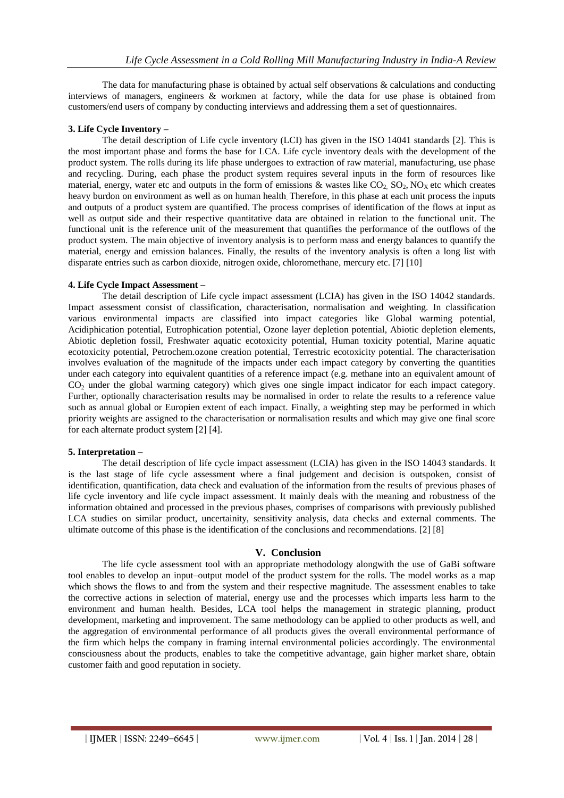The data for manufacturing phase is obtained by actual self observations & calculations and conducting interviews of managers, engineers & workmen at factory, while the data for use phase is obtained from customers/end users of company by conducting interviews and addressing them a set of questionnaires.

## **3. Life Cycle Inventory –**

The detail description of Life cycle inventory (LCI) has given in the ISO 14041 standards [2]. This is the most important phase and forms the base for LCA. Life cycle inventory deals with the development of the product system. The rolls during its life phase undergoes to extraction of raw material, manufacturing, use phase and recycling. During, each phase the product system requires several inputs in the form of resources like material, energy, water etc and outputs in the form of emissions & wastes like  $CO_2$ ,  $SO_2$ ,  $NO_X$  etc which creates heavy burdon on environment as well as on human health. Therefore, in this phase at each unit process the inputs and outputs of a product system are quantified. The process comprises of identification of the flows at input as well as output side and their respective quantitative data are obtained in relation to the functional unit. The functional unit is the reference unit of the measurement that quantifies the performance of the outflows of the product system. The main objective of inventory analysis is to perform mass and energy balances to quantify the material, energy and emission balances. Finally, the results of the inventory analysis is often a long list with disparate entries such as carbon dioxide, nitrogen oxide, chloromethane, mercury etc. [7] [10]

## **4. Life Cycle Impact Assessment –**

The detail description of Life cycle impact assessment (LCIA) has given in the ISO 14042 standards. Impact assessment consist of classification, characterisation, normalisation and weighting. In classification various environmental impacts are classified into impact categories like Global warming potential, Acidiphication potential, Eutrophication potential, Ozone layer depletion potential, Abiotic depletion elements, Abiotic depletion fossil, Freshwater aquatic ecotoxicity potential, Human toxicity potential, Marine aquatic ecotoxicity potential, Petrochem.ozone creation potential, Terrestric ecotoxicity potential. The characterisation involves evaluation of the magnitude of the impacts under each impact category by converting the quantities under each category into equivalent quantities of a reference impact (e.g. methane into an equivalent amount of CO<sup>2</sup> under the global warming category) which gives one single impact indicator for each impact category. Further, optionally characterisation results may be normalised in order to relate the results to a reference value such as annual global or Europien extent of each impact. Finally, a weighting step may be performed in which priority weights are assigned to the characterisation or normalisation results and which may give one final score for each alternate product system [2] [4].

## **5. Interpretation –**

The detail description of life cycle impact assessment (LCIA) has given in the ISO 14043 standards. It is the last stage of life cycle assessment where a final judgement and decision is outspoken, consist of identification, quantification, data check and evaluation of the information from the results of previous phases of life cycle inventory and life cycle impact assessment. It mainly deals with the meaning and robustness of the information obtained and processed in the previous phases, comprises of comparisons with previously published LCA studies on similar product, uncertainity, sensitivity analysis, data checks and external comments. The ultimate outcome of this phase is the identification of the conclusions and recommendations. [2] [8]

## **V. Conclusion**

The life cycle assessment tool with an appropriate methodology alongwith the use of GaBi software tool enables to develop an input–output model of the product system for the rolls. The model works as a map which shows the flows to and from the system and their respective magnitude. The assessment enables to take the corrective actions in selection of material, energy use and the processes which imparts less harm to the environment and human health. Besides, LCA tool helps the management in strategic planning, product development, marketing and improvement. The same methodology can be applied to other products as well, and the aggregation of environmental performance of all products gives the overall environmental performance of the firm which helps the company in framing internal environmental policies accordingly. The environmental consciousness about the products, enables to take the competitive advantage, gain higher market share, obtain customer faith and good reputation in society.